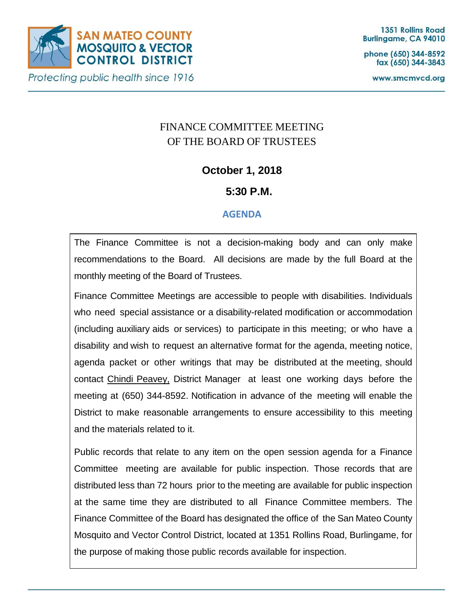

phone (650) 344-8592 fax (650) 344-3843

www.smcmvcd.org

# FINANCE COMMITTEE MEETING OF THE BOARD OF TRUSTEES

## **October 1, 2018**

## **5:30 P.M.**

## **AGENDA**

The Finance Committee is not a decision-making body and can only make recommendations to the Board. All decisions are made by the full Board at the monthly meeting of the Board of Trustees.

Finance Committee Meetings are accessible to people with disabilities. Individuals who need special assistance or a disability-related modification or accommodation (including auxiliary aids or services) to participate in this meeting; or who have a disability and wish to request an alternative format for the agenda, meeting notice, agenda packet or other writings that may be distributed at the meeting, should contact Chindi Peavey, District Manager at least one working days before the meeting at (650) 344-8592. Notification in advance of the meeting will enable the District to make reasonable arrangements to ensure accessibility to this meeting and the materials related to it.

Public records that relate to any item on the open session agenda for a Finance Committee meeting are available for public inspection. Those records that are distributed less than 72 hours prior to the meeting are available for public inspection at the same time they are distributed to all Finance Committee members. The Finance Committee of the Board has designated the office of the San Mateo County Mosquito and Vector Control District, located at 1351 Rollins Road, Burlingame, for the purpose of making those public records available for inspection.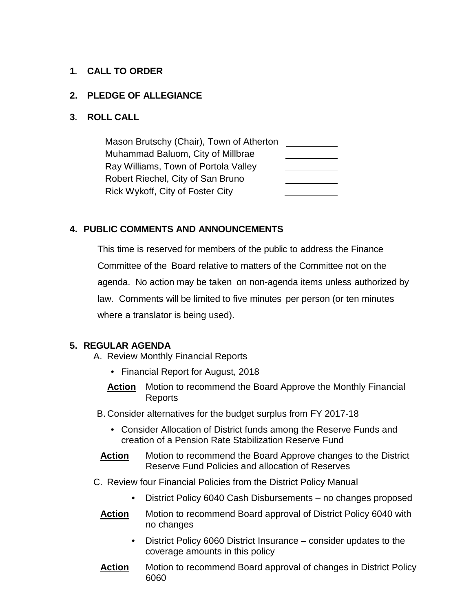### **1. CALL TO ORDER**

#### **2. PLEDGE OF ALLEGIANCE**

#### **3. ROLL CALL**

Mason Brutschy (Chair), Town of Atherton Muhammad Baluom, City of Millbrae Ray Williams, Town of Portola Valley Robert Riechel, City of San Bruno Rick Wykoff, City of Foster City

### **4. PUBLIC COMMENTS AND ANNOUNCEMENTS**

This time is reserved for members of the public to address the Finance Committee of the Board relative to matters of the Committee not on the agenda. No action may be taken on non-agenda items unless authorized by law. Comments will be limited to five minutes per person (or ten minutes where a translator is being used).

#### **5. REGULAR AGENDA**

- A. Review Monthly Financial Reports
	- Financial Report for August, 2018
	- **Action** Motion to recommend the Board Approve the Monthly Financial Reports
- B. Consider alternatives for the budget surplus from FY 2017-18
	- Consider Allocation of District funds among the Reserve Funds and creation of a Pension Rate Stabilization Reserve Fund
- **Action** Motion to recommend the Board Approve changes to the District Reserve Fund Policies and allocation of Reserves
- C. Review four Financial Policies from the District Policy Manual
	- District Policy 6040 Cash Disbursements no changes proposed
	- **Action** Motion to recommend Board approval of District Policy 6040 with no changes
		- District Policy 6060 District Insurance consider updates to the coverage amounts in this policy
	- **Action** Motion to recommend Board approval of changes in District Policy 6060